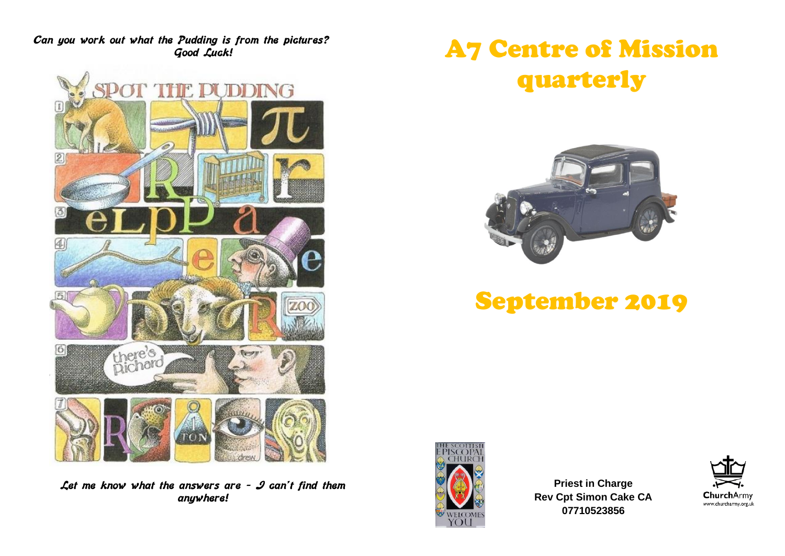**Can you work out what the Pudding is from the pictures? Good Luck!**



**Let me know what the answers are – I can't find them anywhere!**

# A7 Centre of Mission quarterly



## September 2019



**Priest in Charge Rev Cpt Simon Cake CA 07710523856**

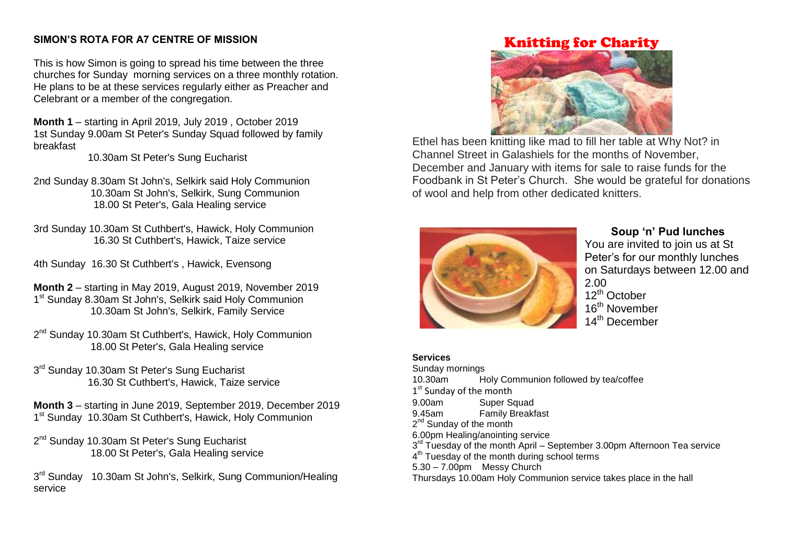#### **SIMON'S ROTA FOR A7 CENTRE OF MISSION**

This is how Simon is going to spread his time between the three churches for Sunday morning services on a three monthly rotation. He plans to be at these services regularly either as Preacher and Celebrant or a member of the congregation.

**Month 1** – starting in April 2019, July 2019 , October 2019 1st Sunday 9.00am St Peter's Sunday Squad followed by family breakfast

10.30am St Peter's Sung Eucharist

2nd Sunday 8.30am St John's, Selkirk said Holy Communion 10.30am St John's, Selkirk, Sung Communion 18.00 St Peter's, Gala Healing service

- 3rd Sunday 10.30am St Cuthbert's, Hawick, Holy Communion 16.30 St Cuthbert's, Hawick, Taize service
- 4th Sunday 16.30 St Cuthbert's , Hawick, Evensong

**Month 2** – starting in May 2019, August 2019, November 2019 1<sup>st</sup> Sunday 8.30am St John's, Selkirk said Holy Communion 10.30am St John's, Selkirk, Family Service

- 2<sup>nd</sup> Sunday 10.30am St Cuthbert's, Hawick, Holy Communion 18.00 St Peter's, Gala Healing service
- 3<sup>rd</sup> Sunday 10.30am St Peter's Sung Eucharist 16.30 St Cuthbert's, Hawick, Taize service

**Month 3** – starting in June 2019, September 2019, December 2019 1<sup>st</sup> Sunday 10.30am St Cuthbert's, Hawick, Holy Communion

2<sup>nd</sup> Sunday 10.30am St Peter's Sung Eucharist 18.00 St Peter's, Gala Healing service

3<sup>rd</sup> Sunday 10.30am St John's, Selkirk, Sung Communion/Healing service

## Knitting for Charity



Ethel has been knitting like mad to fill her table at Why Not? in Channel Street in Galashiels for the months of November, December and January with items for sale to raise funds for the Foodbank in St Peter's Church. She would be grateful for donations of wool and help from other dedicated knitters.



#### **Soup 'n' Pud lunches**

You are invited to join us at St Peter's for our monthly lunches on Saturdays between 12.00 and 2.00 12<sup>th</sup> October 16<sup>th</sup> November 14<sup>th</sup> December

#### **Services**

Sunday mornings 10.30am Holy Communion followed by tea/coffee 1<sup>st</sup> Sunday of the month 9.00am Super Squad 9.45am Family Breakfast 2<sup>nd</sup> Sunday of the month 6.00pm Healing/anointing service 3<sup>rd</sup> Tuesday of the month April - September 3.00pm Afternoon Tea service 4<sup>th</sup> Tuesday of the month during school terms  $5.30 - 7.00$ pm Messy Church Thursdays 10.00am Holy Communion service takes place in the hall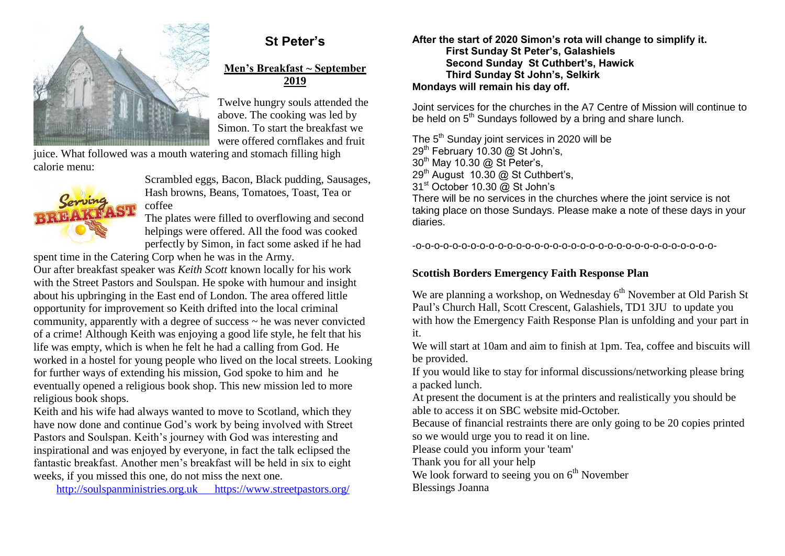

## **St Peter's**

#### **Men's Breakfast ~ September 2019**

Twelve hungry souls attended the above. The cooking was led by Simon. To start the breakfast we were offered cornflakes and fruit

juice. What followed was a mouth watering and stomach filling high calorie menu:



Scrambled eggs, Bacon, Black pudding, Sausages, Hash browns, Beans, Tomatoes, Toast, Tea or coffee

The plates were filled to overflowing and second helpings were offered. All the food was cooked perfectly by Simon, in fact some asked if he had

spent time in the Catering Corp when he was in the Army.

Our after breakfast speaker was *Keith Scott* known locally for his work with the Street Pastors and Soulspan. He spoke with humour and insight about his upbringing in the East end of London. The area offered little opportunity for improvement so Keith drifted into the local criminal community, apparently with a degree of success ~ he was never convicted of a crime! Although Keith was enjoying a good life style, he felt that his life was empty, which is when he felt he had a calling from God. He worked in a hostel for young people who lived on the local streets. Looking for further ways of extending his mission, God spoke to him and he eventually opened a religious book shop. This new mission led to more religious book shops.

Keith and his wife had always wanted to move to Scotland, which they have now done and continue God's work by being involved with Street Pastors and Soulspan. Keith's journey with God was interesting and inspirational and was enjoyed by everyone, in fact the talk eclipsed the fantastic breakfast. Another men's breakfast will be held in six to eight weeks, if you missed this one, do not miss the next one.

[http://soulspanministries.org.uk](http://soulspanministries.org.uk/) <https://www.streetpastors.org/>

**After the start of 2020 Simon's rota will change to simplify it. First Sunday St Peter's, Galashiels Second Sunday St Cuthbert's, Hawick Third Sunday St John's, Selkirk Mondays will remain his day off.**

Joint services for the churches in the A7 Centre of Mission will continue to be held on 5<sup>th</sup> Sundays followed by a bring and share lunch.

The 5<sup>th</sup> Sunday joint services in 2020 will be  $29<sup>th</sup>$  February 10.30 @ St John's, 30<sup>th</sup> May 10.30 @ St Peter's, 29<sup>th</sup> August 10.30 @ St Cuthbert's, 31<sup>st</sup> October 10.30 @ St John's There will be no services in the churches where the joint service is not taking place on those Sundays. Please make a note of these days in your diaries.

-o-o-o-o-o-o-o-o-o-o-o-o-o-o-o-o-o-o-o-o-o-o-o-o-o-o-o-o-o-o-o-o-o-

#### **Scottish Borders Emergency Faith Response Plan**

We are planning a workshop, on Wednesday  $6<sup>th</sup>$  November at Old Parish St Paul's Church Hall, Scott Crescent, Galashiels, TD1 3JU to update you with how the Emergency Faith Response Plan is unfolding and your part in it.

We will start at 10am and aim to finish at 1pm. Tea, coffee and biscuits will be provided.

If you would like to stay for informal discussions/networking please bring a packed lunch.

At present the document is at the printers and realistically you should be able to access it on SBC website mid-October.

Because of financial restraints there are only going to be 20 copies printed so we would urge you to read it on line.

Please could you inform your 'team'

Thank you for all your help

We look forward to seeing you on  $6<sup>th</sup>$  November

Blessings Joanna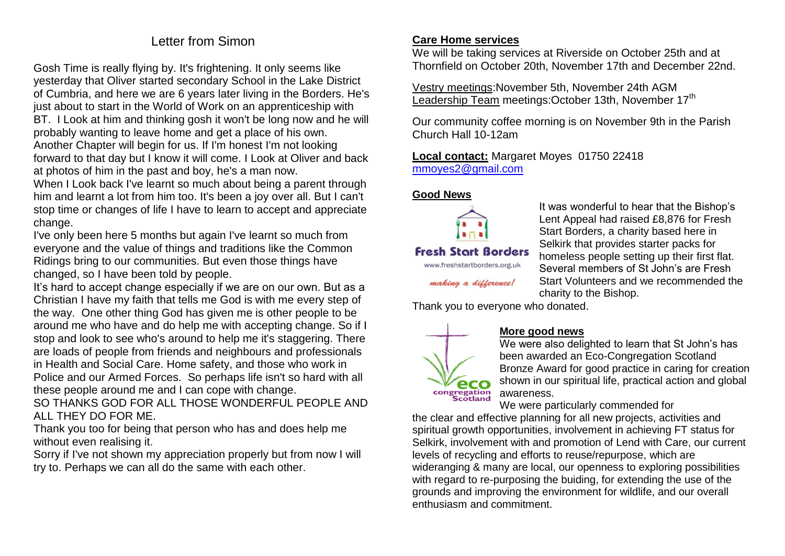### Letter from Simon

Gosh Time is really flying by. It's frightening. It only seems like yesterday that Oliver started secondary School in the Lake District of Cumbria, and here we are 6 years later living in the Borders. He's just about to start in the World of Work on an apprenticeship with BT. I Look at him and thinking gosh it won't be long now and he will probably wanting to leave home and get a place of his own. Another Chapter will begin for us. If I'm honest I'm not looking forward to that day but I know it will come. I Look at Oliver and back at photos of him in the past and boy, he's a man now.

When I Look back I've learnt so much about being a parent through him and learnt a lot from him too. It's been a joy over all. But I can't stop time or changes of life I have to learn to accept and appreciate change.

I've only been here 5 months but again I've learnt so much from everyone and the value of things and traditions like the Common Ridings bring to our communities. But even those things have changed, so I have been told by people.

It's hard to accept change especially if we are on our own. But as a Christian I have my faith that tells me God is with me every step of the way. One other thing God has given me is other people to be around me who have and do help me with accepting change. So if I stop and look to see who's around to help me it's staggering. There are loads of people from friends and neighbours and professionals in Health and Social Care. Home safety, and those who work in Police and our Armed Forces. So perhaps life isn't so hard with all these people around me and I can cope with change.

SO THANKS GOD FOR ALL THOSE WONDERFUL PEOPLE AND ALL THEY DO FOR ME.

Thank you too for being that person who has and does help me without even realising it.

Sorry if I've not shown my appreciation properly but from now I will try to. Perhaps we can all do the same with each other.

#### **Care Home services**

We will be taking services at Riverside on October 25th and at Thornfield on October 20th, November 17th and December 22nd.

Vestry meetings:November 5th, November 24th AGM Leadership Team meetings:October 13th, November 17<sup>th</sup>

Our community coffee morning is on November 9th in the Parish Church Hall 10-12am

**Local contact:** Margaret Moyes 01750 22418 [mmoyes2@gmail.com](mailto:mmoyes2@gmail.com)

#### **Good News**



www.freshstartborders.org.uk making a difference!

It was wonderful to hear that the Bishop's Lent Appeal had raised £8,876 for Fresh Start Borders, a charity based here in Selkirk that provides starter packs for homeless people setting up their first flat. Several members of St John's are Fresh Start Volunteers and we recommended the charity to the Bishop.

Thank you to everyone who donated.



#### **More good news**

We were also delighted to learn that St John's has been awarded an Eco-Congregation Scotland Bronze Award for good practice in caring for creation shown in our spiritual life, practical action and global awareness.

We were particularly commended for

the clear and effective planning for all new projects, activities and spiritual growth opportunities, involvement in achieving FT status for Selkirk, involvement with and promotion of Lend with Care, our current levels of recycling and efforts to reuse/repurpose, which are wideranging & many are local, our openness to exploring possibilities with regard to re-purposing the buiding, for extending the use of the grounds and improving the environment for wildlife, and our overall enthusiasm and commitment.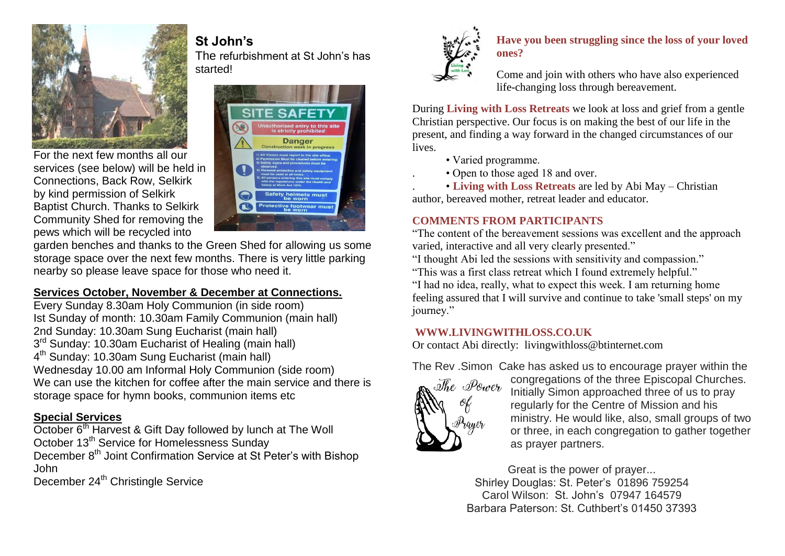

For the next few months all our services (see below) will be held in Connections, Back Row, Selkirk by kind permission of Selkirk Baptist Church. Thanks to Selkirk Community Shed for removing the pews which will be recycled into



garden benches and thanks to the Green Shed for allowing us some storage space over the next few months. There is very little parking nearby so please leave space for those who need it.

**St John's**

#### **Services October, November & December at Connections.**

Every Sunday 8.30am Holy Communion (in side room) Ist Sunday of month: 10.30am Family Communion (main hall) 2nd Sunday: 10.30am Sung Eucharist (main hall) 3<sup>rd</sup> Sunday: 10.30am Eucharist of Healing (main hall) 4<sup>th</sup> Sunday: 10.30am Sung Eucharist (main hall) Wednesday 10.00 am Informal Holy Communion (side room) We can use the kitchen for coffee after the main service and there is storage space for hymn books, communion items etc

#### **Special Services**

October 6<sup>th</sup> Harvest & Gift Day followed by lunch at The Woll October 13<sup>th</sup> Service for Homelessness Sunday

December 8<sup>th</sup> Joint Confirmation Service at St Peter's with Bishop John

December 24<sup>th</sup> Christingle Service



#### **Have you been struggling since the loss of your loved ones?**

Come and join with others who have also experienced life-changing loss through bereavement.

During **Living with Loss Retreats** we look at loss and grief from a gentle Christian perspective. Our focus is on making the best of our life in the present, and finding a way forward in the changed circumstances of our lives.

- Varied programme.
- . Open to those aged 18 and over.

. • **Living with Loss Retreats** are led by Abi May – Christian author, bereaved mother, retreat leader and educator.

#### **COMMENTS FROM PARTICIPANTS**

"The content of the bereavement sessions was excellent and the approach varied, interactive and all very clearly presented."

"I thought Abi led the sessions with sensitivity and compassion."

"This was a first class retreat which I found extremely helpful."

"I had no idea, really, what to expect this week. I am returning home feeling assured that I will survive and continue to take 'small steps' on my journey."

#### **WWW.LIVINGWITHLOSS.CO.UK**

Or contact Abi directly: livingwithloss@btinternet.com

The Rev .Simon Cake has asked us to encourage prayer within the



congregations of the three Episcopal Churches. Initially Simon approached three of us to pray regularly for the Centre of Mission and his ministry. He would like, also, small groups of two or three, in each congregation to gather together as prayer partners.

Great is the power of prayer... Shirley Douglas: St. Peter's 01896 759254 Carol Wilson: St. John's 07947 164579 Barbara Paterson: St. Cuthbert's 01450 37393